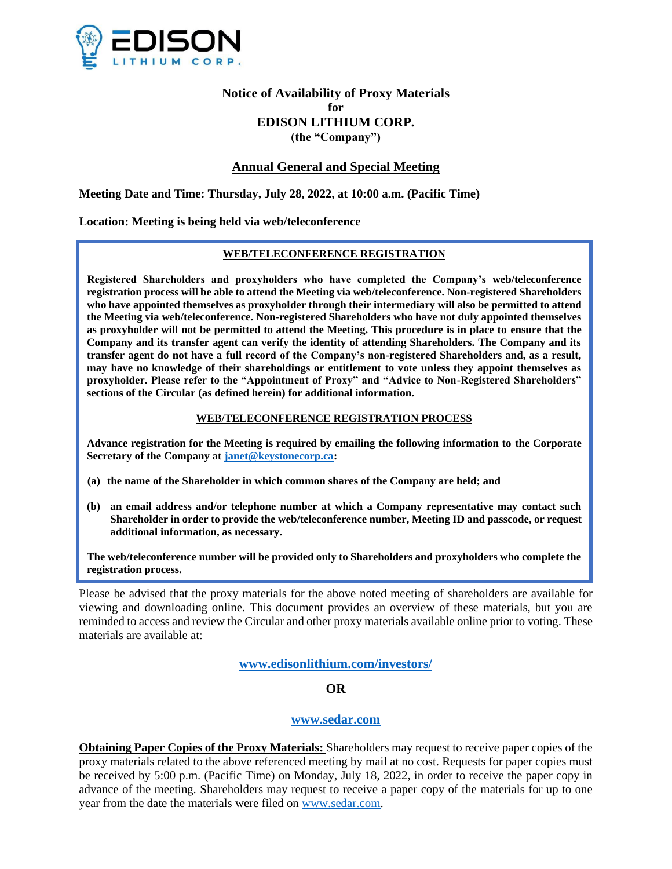

# **Notice of Availability of Proxy Materials for EDISON LITHIUM CORP. (the "Company")**

# **Annual General and Special Meeting**

**Meeting Date and Time: Thursday, July 28, 2022, at 10:00 a.m. (Pacific Time)**

## **Location: Meeting is being held via web/teleconference**

# **WEB/TELECONFERENCE REGISTRATION**

**Registered Shareholders and proxyholders who have completed the Company's web/teleconference registration process will be able to attend the Meeting via web/teleconference. Non-registered Shareholders who have appointed themselves as proxyholder through their intermediary will also be permitted to attend the Meeting via web/teleconference. Non-registered Shareholders who have not duly appointed themselves as proxyholder will not be permitted to attend the Meeting. This procedure is in place to ensure that the Company and its transfer agent can verify the identity of attending Shareholders. The Company and its transfer agent do not have a full record of the Company's non-registered Shareholders and, as a result, may have no knowledge of their shareholdings or entitlement to vote unless they appoint themselves as proxyholder. Please refer to the "Appointment of Proxy" and "Advice to Non-Registered Shareholders" sections of the Circular (as defined herein) for additional information.**

#### **WEB/TELECONFERENCE REGISTRATION PROCESS**

**Advance registration for the Meeting is required by emailing the following information to the Corporate Secretary of the Company at [janet@keystonecorp.ca:](mailto:janet@keystonecorp.ca)** 

- **(a) the name of the Shareholder in which common shares of the Company are held; and**
- **(b) an email address and/or telephone number at which a Company representative may contact such Shareholder in order to provide the web/teleconference number, Meeting ID and passcode, or request additional information, as necessary.**

**The web/teleconference number will be provided only to Shareholders and proxyholders who complete the registration process.**

Please be advised that the proxy materials for the above noted meeting of shareholders are available for viewing and downloading online. This document provides an overview of these materials, but you are reminded to access and review the Circular and other proxy materials available online prior to voting. These materials are available at:

**[www.edisonlithium.com/investors/](http://www.edisonlithium.com/investors/)**

# **OR**

### **[www.sedar.com](http://www.sedar.com/)**

**Obtaining Paper Copies of the Proxy Materials:** Shareholders may request to receive paper copies of the proxy materials related to the above referenced meeting by mail at no cost. Requests for paper copies must be received by 5:00 p.m. (Pacific Time) on Monday, July 18, 2022, in order to receive the paper copy in advance of the meeting. Shareholders may request to receive a paper copy of the materials for up to one year from the date the materials were filed on [www.sedar.com.](http://www.sedar.com/)